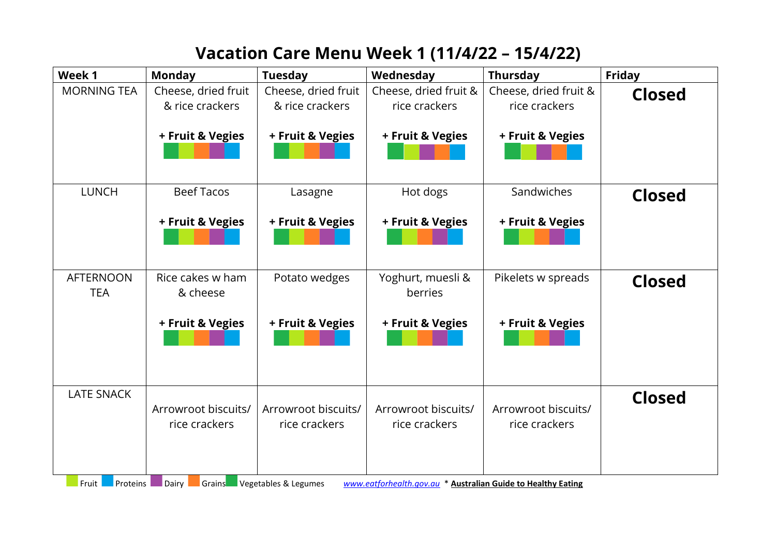## **Vacation Care Menu Week 1 (11/4/22 – 15/4/22)**

| Week 1                         | <b>Monday</b>       | <b>Tuesday</b>       | Wednesday                                                    | <b>Thursday</b>       | <b>Friday</b> |
|--------------------------------|---------------------|----------------------|--------------------------------------------------------------|-----------------------|---------------|
| <b>MORNING TEA</b>             | Cheese, dried fruit | Cheese, dried fruit  | Cheese, dried fruit &                                        | Cheese, dried fruit & | <b>Closed</b> |
|                                | & rice crackers     | & rice crackers      | rice crackers                                                | rice crackers         |               |
|                                |                     |                      |                                                              |                       |               |
|                                | + Fruit & Vegies    | + Fruit & Vegies     | + Fruit & Vegies                                             | + Fruit & Vegies      |               |
|                                |                     |                      |                                                              |                       |               |
|                                |                     |                      |                                                              |                       |               |
| <b>LUNCH</b>                   | <b>Beef Tacos</b>   | Lasagne              | Hot dogs                                                     | Sandwiches            | <b>Closed</b> |
|                                | + Fruit & Vegies    | + Fruit & Vegies     | + Fruit & Vegies                                             | + Fruit & Vegies      |               |
|                                |                     |                      |                                                              |                       |               |
|                                |                     |                      |                                                              |                       |               |
|                                |                     |                      |                                                              |                       |               |
| <b>AFTERNOON</b><br><b>TEA</b> | Rice cakes w ham    | Potato wedges        | Yoghurt, muesli &<br>berries                                 | Pikelets w spreads    | <b>Closed</b> |
|                                | & cheese            |                      |                                                              |                       |               |
|                                | + Fruit & Vegies    | + Fruit & Vegies     | + Fruit & Vegies                                             | + Fruit & Vegies      |               |
|                                |                     |                      |                                                              |                       |               |
|                                |                     |                      |                                                              |                       |               |
|                                |                     |                      |                                                              |                       |               |
| <b>LATE SNACK</b>              |                     |                      |                                                              |                       | <b>Closed</b> |
|                                | Arrowroot biscuits/ | Arrowroot biscuits/  | Arrowroot biscuits/                                          | Arrowroot biscuits/   |               |
|                                | rice crackers       | rice crackers        | rice crackers                                                | rice crackers         |               |
|                                |                     |                      |                                                              |                       |               |
|                                |                     |                      |                                                              |                       |               |
| Fruit<br>Proteins              | Grains<br>Dairy     | Vegetables & Legumes | www.eatforhealth.gov.au * Australian Guide to Healthy Eating |                       |               |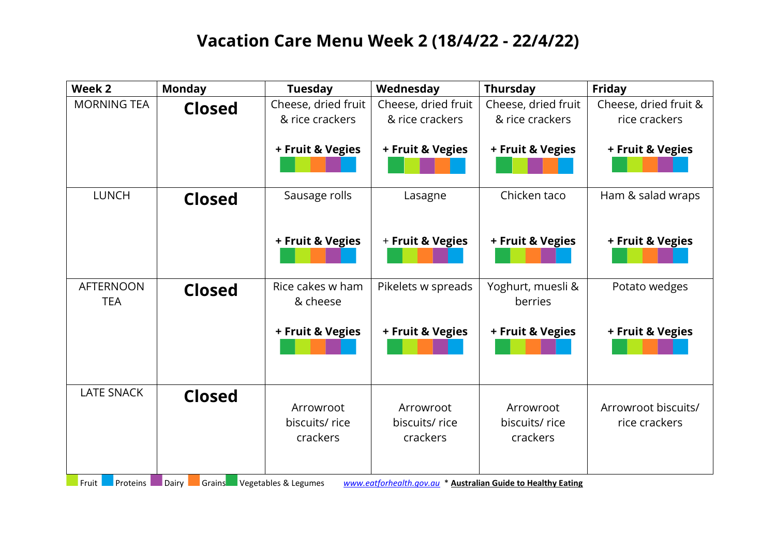## **Vacation Care Menu Week 2 (18/4/22 - 22/4/22)**

| Week 2             | <b>Monday</b>   | <b>Tuesday</b>       | Wednesday                                                    | <b>Thursday</b>     | Friday                |
|--------------------|-----------------|----------------------|--------------------------------------------------------------|---------------------|-----------------------|
| <b>MORNING TEA</b> | <b>Closed</b>   | Cheese, dried fruit  | Cheese, dried fruit                                          | Cheese, dried fruit | Cheese, dried fruit & |
|                    |                 | & rice crackers      | & rice crackers                                              | & rice crackers     | rice crackers         |
|                    |                 |                      |                                                              |                     |                       |
|                    |                 | + Fruit & Vegies     | + Fruit & Vegies                                             | + Fruit & Vegies    | + Fruit & Vegies      |
|                    |                 |                      |                                                              |                     |                       |
|                    |                 |                      |                                                              |                     |                       |
| <b>LUNCH</b>       | <b>Closed</b>   | Sausage rolls        | Lasagne                                                      | Chicken taco        | Ham & salad wraps     |
|                    |                 |                      |                                                              |                     |                       |
|                    |                 |                      |                                                              |                     |                       |
|                    |                 | + Fruit & Vegies     | + Fruit & Vegies                                             | + Fruit & Vegies    | + Fruit & Vegies      |
|                    |                 |                      |                                                              |                     |                       |
| <b>AFTERNOON</b>   |                 | Rice cakes w ham     | Pikelets w spreads                                           | Yoghurt, muesli &   | Potato wedges         |
| <b>TEA</b>         | <b>Closed</b>   | & cheese             |                                                              | berries             |                       |
|                    |                 |                      |                                                              |                     |                       |
|                    |                 | + Fruit & Vegies     | + Fruit & Vegies                                             | + Fruit & Vegies    | + Fruit & Vegies      |
|                    |                 |                      |                                                              |                     |                       |
|                    |                 |                      |                                                              |                     |                       |
|                    |                 |                      |                                                              |                     |                       |
| <b>LATE SNACK</b>  | <b>Closed</b>   |                      |                                                              |                     |                       |
|                    |                 | Arrowroot            | Arrowroot                                                    | Arrowroot           | Arrowroot biscuits/   |
|                    |                 | biscuits/rice        | biscuits/ rice                                               | biscuits/rice       | rice crackers         |
|                    |                 | crackers             | crackers                                                     | crackers            |                       |
|                    |                 |                      |                                                              |                     |                       |
| Proteins<br>Fruit  | Dairy<br>Grains | Vegetables & Legumes | www.eatforhealth.gov.au * Australian Guide to Healthy Eating |                     |                       |